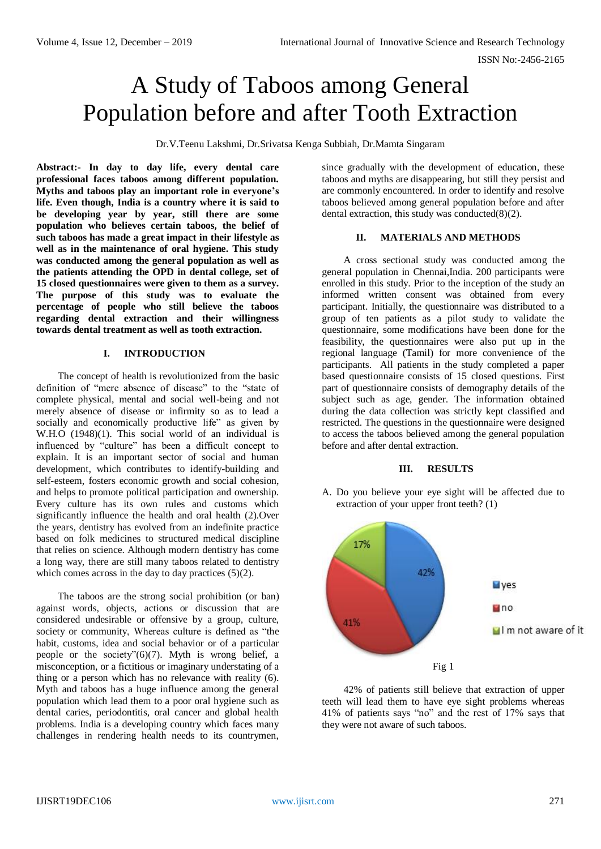# A Study of Taboos among General Population before and after Tooth Extraction

Dr.V.Teenu Lakshmi, Dr.Srivatsa Kenga Subbiah, Dr.Mamta Singaram

**Abstract:- In day to day life, every dental care professional faces taboos among different population. Myths and taboos play an important role in everyone's life. Even though, India is a country where it is said to be developing year by year, still there are some population who believes certain taboos, the belief of such taboos has made a great impact in their lifestyle as well as in the maintenance of oral hygiene. This study was conducted among the general population as well as the patients attending the OPD in dental college, set of 15 closed questionnaires were given to them as a survey. The purpose of this study was to evaluate the percentage of people who still believe the taboos regarding dental extraction and their willingness towards dental treatment as well as tooth extraction.** 

## **I. INTRODUCTION**

The concept of health is revolutionized from the basic definition of "mere absence of disease" to the "state of complete physical, mental and social well-being and not merely absence of disease or infirmity so as to lead a socially and economically productive life" as given by W.H.O (1948)(1). This social world of an individual is influenced by "culture" has been a difficult concept to explain. It is an important sector of social and human development, which contributes to identify-building and self-esteem, fosters economic growth and social cohesion, and helps to promote political participation and ownership. Every culture has its own rules and customs which significantly influence the health and oral health (2).Over the years, dentistry has evolved from an indefinite practice based on folk medicines to structured medical discipline that relies on science. Although modern dentistry has come a long way, there are still many taboos related to dentistry which comes across in the day to day practices (5)(2).

The taboos are the strong social prohibition (or ban) against words, objects, actions or discussion that are considered undesirable or offensive by a group, culture, society or community, Whereas culture is defined as "the habit, customs, idea and social behavior or of a particular people or the society" $(6)(7)$ . Myth is wrong belief, a misconception, or a fictitious or imaginary understating of a thing or a person which has no relevance with reality (6). Myth and taboos has a huge influence among the general population which lead them to a poor oral hygiene such as dental caries, periodontitis, oral cancer and global health problems. India is a developing country which faces many challenges in rendering health needs to its countrymen,

since gradually with the development of education, these taboos and myths are disappearing, but still they persist and are commonly encountered. In order to identify and resolve taboos believed among general population before and after dental extraction, this study was conducted $(8)(2)$ .

#### **II. MATERIALS AND METHODS**

A cross sectional study was conducted among the general population in Chennai,India. 200 participants were enrolled in this study. Prior to the inception of the study an informed written consent was obtained from every participant. Initially, the questionnaire was distributed to a group of ten patients as a pilot study to validate the questionnaire, some modifications have been done for the feasibility, the questionnaires were also put up in the regional language (Tamil) for more convenience of the participants. All patients in the study completed a paper based questionnaire consists of 15 closed questions. First part of questionnaire consists of demography details of the subject such as age, gender. The information obtained during the data collection was strictly kept classified and restricted. The questions in the questionnaire were designed to access the taboos believed among the general population before and after dental extraction.

#### **III. RESULTS**

A. Do you believe your eye sight will be affected due to extraction of your upper front teeth? (1)



42% of patients still believe that extraction of upper teeth will lead them to have eye sight problems whereas 41% of patients says "no" and the rest of 17% says that they were not aware of such taboos.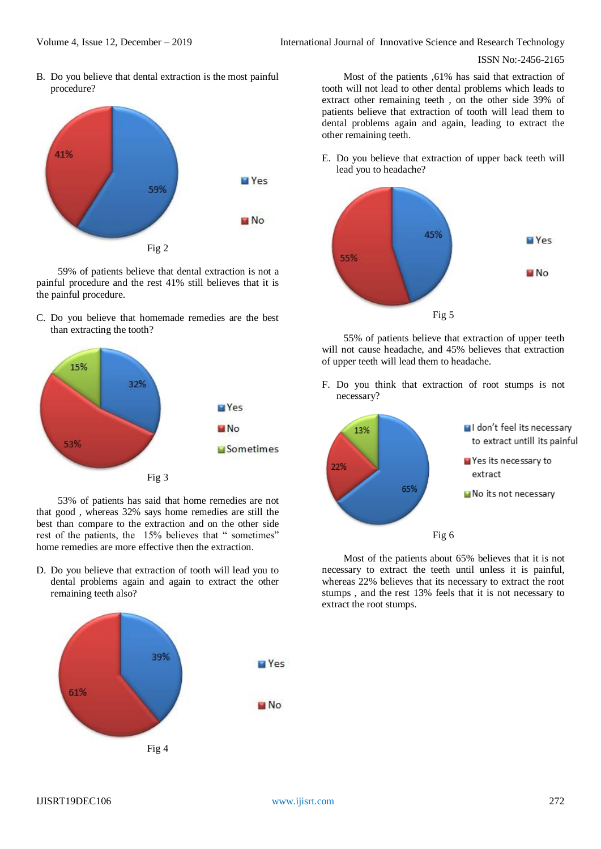B. Do you believe that dental extraction is the most painful procedure?



59% of patients believe that dental extraction is not a painful procedure and the rest 41% still believes that it is the painful procedure.

C. Do you believe that homemade remedies are the best than extracting the tooth?



53% of patients has said that home remedies are not that good , whereas 32% says home remedies are still the best than compare to the extraction and on the other side rest of the patients, the 15% believes that " sometimes" home remedies are more effective then the extraction.

D. Do you believe that extraction of tooth will lead you to dental problems again and again to extract the other remaining teeth also?



Most of the patients ,61% has said that extraction of tooth will not lead to other dental problems which leads to extract other remaining teeth , on the other side 39% of patients believe that extraction of tooth will lead them to dental problems again and again, leading to extract the other remaining teeth.

E. Do you believe that extraction of upper back teeth will lead you to headache?



55% of patients believe that extraction of upper teeth will not cause headache, and 45% believes that extraction of upper teeth will lead them to headache.

F. Do you think that extraction of root stumps is not necessary?



Most of the patients about 65% believes that it is not necessary to extract the teeth until unless it is painful, whereas 22% believes that its necessary to extract the root stumps , and the rest 13% feels that it is not necessary to extract the root stumps.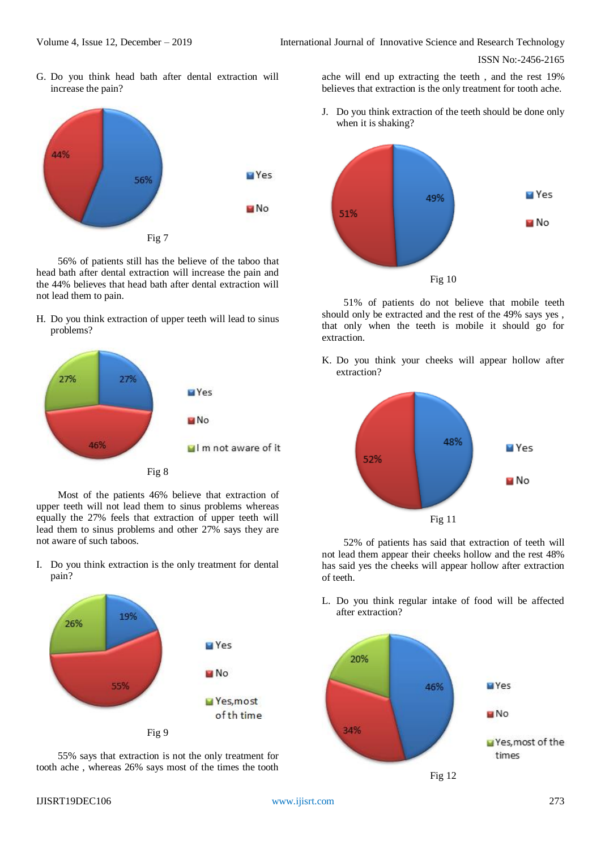G. Do you think head bath after dental extraction will increase the pain?



56% of patients still has the believe of the taboo that head bath after dental extraction will increase the pain and the 44% believes that head bath after dental extraction will not lead them to pain.

H. Do you think extraction of upper teeth will lead to sinus problems?



Most of the patients 46% believe that extraction of upper teeth will not lead them to sinus problems whereas equally the 27% feels that extraction of upper teeth will lead them to sinus problems and other 27% says they are not aware of such taboos.

I. Do you think extraction is the only treatment for dental pain?



55% says that extraction is not the only treatment for tooth ache , whereas 26% says most of the times the tooth

ache will end up extracting the teeth , and the rest 19% believes that extraction is the only treatment for tooth ache.

J. Do you think extraction of the teeth should be done only when it is shaking?



51% of patients do not believe that mobile teeth should only be extracted and the rest of the 49% says yes , that only when the teeth is mobile it should go for extraction.

K. Do you think your cheeks will appear hollow after extraction?



52% of patients has said that extraction of teeth will not lead them appear their cheeks hollow and the rest 48% has said yes the cheeks will appear hollow after extraction of teeth.

L. Do you think regular intake of food will be affected after extraction?

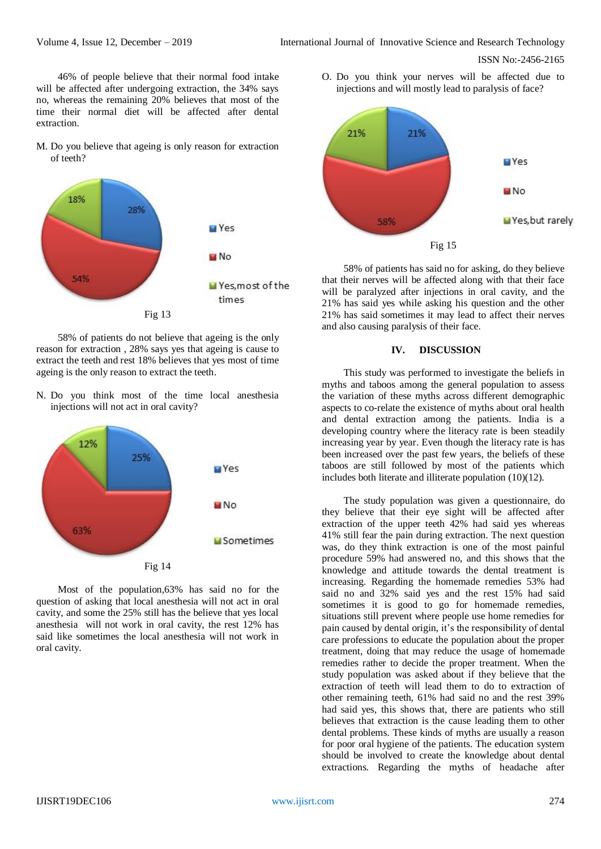46% of people believe that their normal food intake will be affected after undergoing extraction, the 34% says no, whereas the remaining 20% believes that most of the time their normal diet will be affected after dental extraction.

M. Do you believe that ageing is only reason for extraction of teeth?



58% of patients do not believe that ageing is the only reason for extraction , 28% says yes that ageing is cause to extract the teeth and rest 18% believes that yes most of time ageing is the only reason to extract the teeth.

N. Do you think most of the time local anesthesia injections will not act in oral cavity?



Most of the population,63% has said no for the question of asking that local anesthesia will not act in oral cavity, and some the 25% still has the believe that yes local anesthesia will not work in oral cavity, the rest 12% has said like sometimes the local anesthesia will not work in oral cavity.

O. Do you think your nerves will be affected due to injections and will mostly lead to paralysis of face?



58% of patients has said no for asking, do they believe that their nerves will be affected along with that their face will be paralyzed after injections in oral cavity, and the 21% has said yes while asking his question and the other 21% has said sometimes it may lead to affect their nerves and also causing paralysis of their face.

# **IV. DISCUSSION**

This study was performed to investigate the beliefs in myths and taboos among the general population to assess the variation of these myths across different demographic aspects to co-relate the existence of myths about oral health and dental extraction among the patients. India is a developing country where the literacy rate is been steadily increasing year by year. Even though the literacy rate is has been increased over the past few years, the beliefs of these taboos are still followed by most of the patients which includes both literate and illiterate population (10)(12).

The study population was given a questionnaire, do they believe that their eye sight will be affected after extraction of the upper teeth 42% had said yes whereas 41% still fear the pain during extraction. The next question was, do they think extraction is one of the most painful procedure 59% had answered no, and this shows that the knowledge and attitude towards the dental treatment is increasing. Regarding the homemade remedies 53% had said no and 32% said yes and the rest 15% had said sometimes it is good to go for homemade remedies, situations still prevent where people use home remedies for pain caused by dental origin, it's the responsibility of dental care professions to educate the population about the proper treatment, doing that may reduce the usage of homemade remedies rather to decide the proper treatment. When the study population was asked about if they believe that the extraction of teeth will lead them to do to extraction of other remaining teeth, 61% had said no and the rest 39% had said yes, this shows that, there are patients who still believes that extraction is the cause leading them to other dental problems. These kinds of myths are usually a reason for poor oral hygiene of the patients. The education system should be involved to create the knowledge about dental extractions. Regarding the myths of headache after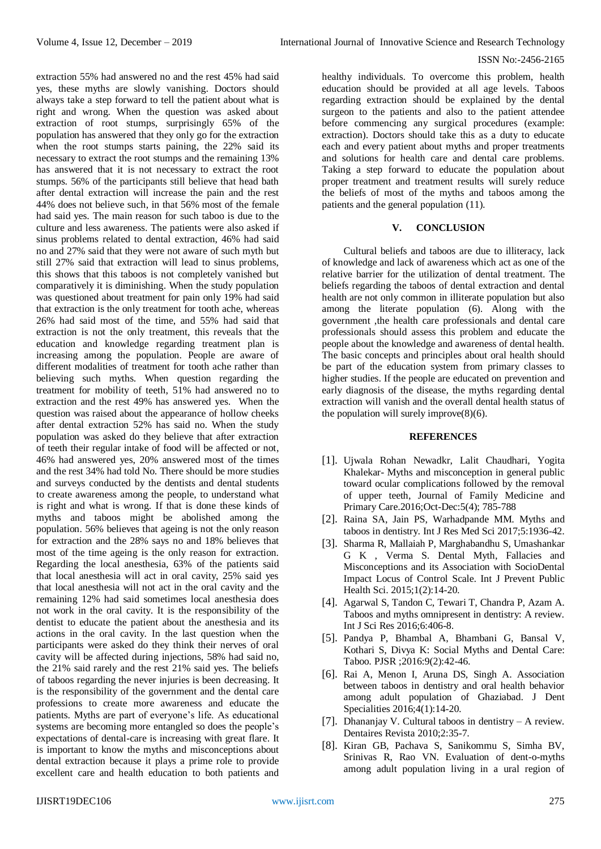extraction 55% had answered no and the rest 45% had said yes, these myths are slowly vanishing. Doctors should always take a step forward to tell the patient about what is right and wrong. When the question was asked about extraction of root stumps, surprisingly 65% of the population has answered that they only go for the extraction when the root stumps starts paining, the 22% said its necessary to extract the root stumps and the remaining 13% has answered that it is not necessary to extract the root stumps. 56% of the participants still believe that head bath after dental extraction will increase the pain and the rest 44% does not believe such, in that 56% most of the female had said yes. The main reason for such taboo is due to the culture and less awareness. The patients were also asked if sinus problems related to dental extraction, 46% had said no and 27% said that they were not aware of such myth but still 27% said that extraction will lead to sinus problems, this shows that this taboos is not completely vanished but comparatively it is diminishing. When the study population was questioned about treatment for pain only 19% had said that extraction is the only treatment for tooth ache, whereas 26% had said most of the time, and 55% had said that extraction is not the only treatment, this reveals that the education and knowledge regarding treatment plan is increasing among the population. People are aware of different modalities of treatment for tooth ache rather than believing such myths. When question regarding the treatment for mobility of teeth, 51% had answered no to

#### ISSN No:-2456-2165

healthy individuals. To overcome this problem, health education should be provided at all age levels. Taboos regarding extraction should be explained by the dental surgeon to the patients and also to the patient attendee before commencing any surgical procedures (example: extraction). Doctors should take this as a duty to educate each and every patient about myths and proper treatments and solutions for health care and dental care problems. Taking a step forward to educate the population about proper treatment and treatment results will surely reduce the beliefs of most of the myths and taboos among the patients and the general population (11).

## **V. CONCLUSION**

Cultural beliefs and taboos are due to illiteracy, lack of knowledge and lack of awareness which act as one of the relative barrier for the utilization of dental treatment. The beliefs regarding the taboos of dental extraction and dental health are not only common in illiterate population but also among the literate population (6). Along with the government ,the health care professionals and dental care professionals should assess this problem and educate the people about the knowledge and awareness of dental health. The basic concepts and principles about oral health should be part of the education system from primary classes to higher studies. If the people are educated on prevention and early diagnosis of the disease, the myths regarding dental extraction will vanish and the overall dental health status of the population will surely improve $(8)(6)$ .

### **REFERENCES**

- [1]. Ujwala Rohan Newadkr, Lalit Chaudhari, Yogita Khalekar- Myths and misconception in general public toward ocular complications followed by the removal of upper teeth, Journal of Family Medicine and Primary Care.2016;Oct-Dec:5(4); 785-788
- [2]. Raina SA, Jain PS, Warhadpande MM. Myths and taboos in dentistry. Int J Res Med Sci 2017;5:1936-42.
- [3]. Sharma R, Mallaiah P, Marghabandhu S, Umashankar G K , Verma S. Dental Myth, Fallacies and Misconceptions and its Association with SocioDental Impact Locus of Control Scale. Int J Prevent Public Health Sci. 2015;1(2):14-20.
- [4]. Agarwal S, Tandon C, Tewari T, Chandra P, Azam A. Taboos and myths omnipresent in dentistry: A review. Int J Sci Res 2016;6:406-8.
- [5]. Pandya P, Bhambal A, Bhambani G, Bansal V, Kothari S, Divya K: Social Myths and Dental Care: Taboo. PJSR ;2016:9(2):42-46.
- [6]. Rai A, Menon I, Aruna DS, Singh A. Association between taboos in dentistry and oral health behavior among adult population of Ghaziabad. J Dent Specialities 2016;4(1):14-20.
- [7]. Dhananjay V. Cultural taboos in dentistry A review. Dentaires Revista 2010;2:35-7.
- [8]. Kiran GB, Pachava S, Sanikommu S, Simha BV, Srinivas R, Rao VN. Evaluation of dent-o-myths among adult population living in a ural region of

IJISRT19DEC106 [www.ijisrt.com](http://www.ijisrt.com/) 275 extraction and the rest 49% has answered yes. When the question was raised about the appearance of hollow cheeks after dental extraction 52% has said no. When the study population was asked do they believe that after extraction of teeth their regular intake of food will be affected or not, 46% had answered yes, 20% answered most of the times and the rest 34% had told No. There should be more studies and surveys conducted by the dentists and dental students to create awareness among the people, to understand what is right and what is wrong. If that is done these kinds of myths and taboos might be abolished among the population. 56% believes that ageing is not the only reason for extraction and the 28% says no and 18% believes that most of the time ageing is the only reason for extraction. Regarding the local anesthesia, 63% of the patients said that local anesthesia will act in oral cavity, 25% said yes that local anesthesia will not act in the oral cavity and the remaining 12% had said sometimes local anesthesia does not work in the oral cavity. It is the responsibility of the dentist to educate the patient about the anesthesia and its actions in the oral cavity. In the last question when the participants were asked do they think their nerves of oral cavity will be affected during injections, 58% had said no, the 21% said rarely and the rest 21% said yes. The beliefs of taboos regarding the never injuries is been decreasing. It is the responsibility of the government and the dental care professions to create more awareness and educate the patients. Myths are part of everyone's life. As educational systems are becoming more entangled so does the people's expectations of dental-care is increasing with great flare. It is important to know the myths and misconceptions about dental extraction because it plays a prime role to provide excellent care and health education to both patients and